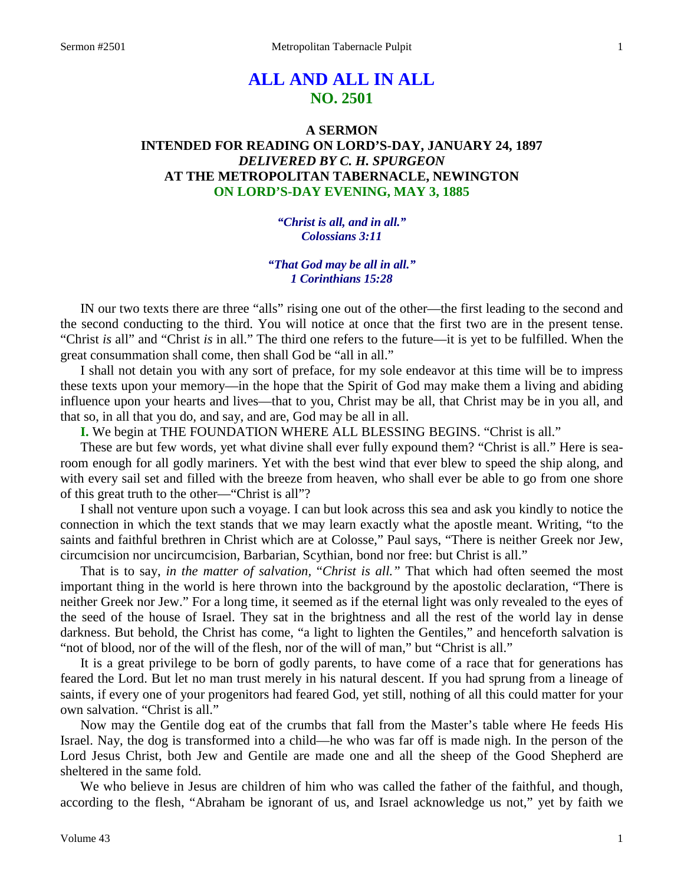# **ALL AND ALL IN ALL NO. 2501**

# **A SERMON INTENDED FOR READING ON LORD'S-DAY, JANUARY 24, 1897** *DELIVERED BY C. H. SPURGEON* **AT THE METROPOLITAN TABERNACLE, NEWINGTON ON LORD'S-DAY EVENING, MAY 3, 1885**

*"Christ is all, and in all." Colossians 3:11*

*"That God may be all in all." 1 Corinthians 15:28*

IN our two texts there are three "alls" rising one out of the other—the first leading to the second and the second conducting to the third. You will notice at once that the first two are in the present tense. "Christ *is* all" and "Christ *is* in all." The third one refers to the future—it is yet to be fulfilled. When the great consummation shall come, then shall God be "all in all."

I shall not detain you with any sort of preface, for my sole endeavor at this time will be to impress these texts upon your memory—in the hope that the Spirit of God may make them a living and abiding influence upon your hearts and lives—that to you, Christ may be all, that Christ may be in you all, and that so, in all that you do, and say, and are, God may be all in all.

**I.** We begin at THE FOUNDATION WHERE ALL BLESSING BEGINS. "Christ is all."

These are but few words, yet what divine shall ever fully expound them? "Christ is all." Here is searoom enough for all godly mariners. Yet with the best wind that ever blew to speed the ship along, and with every sail set and filled with the breeze from heaven, who shall ever be able to go from one shore of this great truth to the other—"Christ is all"?

I shall not venture upon such a voyage. I can but look across this sea and ask you kindly to notice the connection in which the text stands that we may learn exactly what the apostle meant. Writing, "to the saints and faithful brethren in Christ which are at Colosse," Paul says, "There is neither Greek nor Jew, circumcision nor uncircumcision, Barbarian, Scythian, bond nor free: but Christ is all."

That is to say, *in the matter of salvation,* "*Christ is all."* That which had often seemed the most important thing in the world is here thrown into the background by the apostolic declaration, "There is neither Greek nor Jew." For a long time, it seemed as if the eternal light was only revealed to the eyes of the seed of the house of Israel. They sat in the brightness and all the rest of the world lay in dense darkness. But behold, the Christ has come, "a light to lighten the Gentiles," and henceforth salvation is "not of blood, nor of the will of the flesh, nor of the will of man," but "Christ is all."

It is a great privilege to be born of godly parents, to have come of a race that for generations has feared the Lord. But let no man trust merely in his natural descent. If you had sprung from a lineage of saints, if every one of your progenitors had feared God, yet still, nothing of all this could matter for your own salvation. "Christ is all."

Now may the Gentile dog eat of the crumbs that fall from the Master's table where He feeds His Israel. Nay, the dog is transformed into a child—he who was far off is made nigh. In the person of the Lord Jesus Christ, both Jew and Gentile are made one and all the sheep of the Good Shepherd are sheltered in the same fold.

We who believe in Jesus are children of him who was called the father of the faithful, and though, according to the flesh, "Abraham be ignorant of us, and Israel acknowledge us not," yet by faith we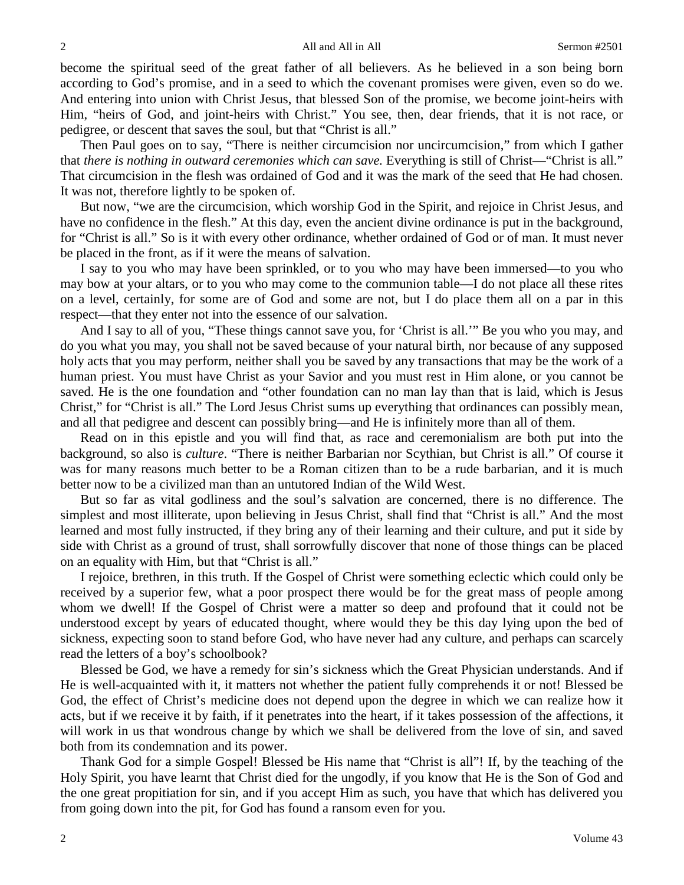become the spiritual seed of the great father of all believers. As he believed in a son being born according to God's promise, and in a seed to which the covenant promises were given, even so do we. And entering into union with Christ Jesus, that blessed Son of the promise, we become joint-heirs with Him, "heirs of God, and joint-heirs with Christ." You see, then, dear friends, that it is not race, or pedigree, or descent that saves the soul, but that "Christ is all."

Then Paul goes on to say, "There is neither circumcision nor uncircumcision," from which I gather that *there is nothing in outward ceremonies which can save.* Everything is still of Christ—"Christ is all." That circumcision in the flesh was ordained of God and it was the mark of the seed that He had chosen. It was not, therefore lightly to be spoken of.

But now, "we are the circumcision, which worship God in the Spirit, and rejoice in Christ Jesus, and have no confidence in the flesh." At this day, even the ancient divine ordinance is put in the background, for "Christ is all." So is it with every other ordinance, whether ordained of God or of man. It must never be placed in the front, as if it were the means of salvation.

I say to you who may have been sprinkled, or to you who may have been immersed—to you who may bow at your altars, or to you who may come to the communion table—I do not place all these rites on a level, certainly, for some are of God and some are not, but I do place them all on a par in this respect—that they enter not into the essence of our salvation.

And I say to all of you, "These things cannot save you, for 'Christ is all.'" Be you who you may, and do you what you may, you shall not be saved because of your natural birth, nor because of any supposed holy acts that you may perform, neither shall you be saved by any transactions that may be the work of a human priest. You must have Christ as your Savior and you must rest in Him alone, or you cannot be saved. He is the one foundation and "other foundation can no man lay than that is laid, which is Jesus Christ," for "Christ is all." The Lord Jesus Christ sums up everything that ordinances can possibly mean, and all that pedigree and descent can possibly bring—and He is infinitely more than all of them.

Read on in this epistle and you will find that, as race and ceremonialism are both put into the background, so also is *culture*. "There is neither Barbarian nor Scythian, but Christ is all." Of course it was for many reasons much better to be a Roman citizen than to be a rude barbarian, and it is much better now to be a civilized man than an untutored Indian of the Wild West.

But so far as vital godliness and the soul's salvation are concerned, there is no difference. The simplest and most illiterate, upon believing in Jesus Christ, shall find that "Christ is all." And the most learned and most fully instructed, if they bring any of their learning and their culture, and put it side by side with Christ as a ground of trust, shall sorrowfully discover that none of those things can be placed on an equality with Him, but that "Christ is all."

I rejoice, brethren, in this truth. If the Gospel of Christ were something eclectic which could only be received by a superior few, what a poor prospect there would be for the great mass of people among whom we dwell! If the Gospel of Christ were a matter so deep and profound that it could not be understood except by years of educated thought, where would they be this day lying upon the bed of sickness, expecting soon to stand before God, who have never had any culture, and perhaps can scarcely read the letters of a boy's schoolbook?

Blessed be God, we have a remedy for sin's sickness which the Great Physician understands. And if He is well-acquainted with it, it matters not whether the patient fully comprehends it or not! Blessed be God, the effect of Christ's medicine does not depend upon the degree in which we can realize how it acts, but if we receive it by faith, if it penetrates into the heart, if it takes possession of the affections, it will work in us that wondrous change by which we shall be delivered from the love of sin, and saved both from its condemnation and its power.

Thank God for a simple Gospel! Blessed be His name that "Christ is all"! If, by the teaching of the Holy Spirit, you have learnt that Christ died for the ungodly, if you know that He is the Son of God and the one great propitiation for sin, and if you accept Him as such, you have that which has delivered you from going down into the pit, for God has found a ransom even for you.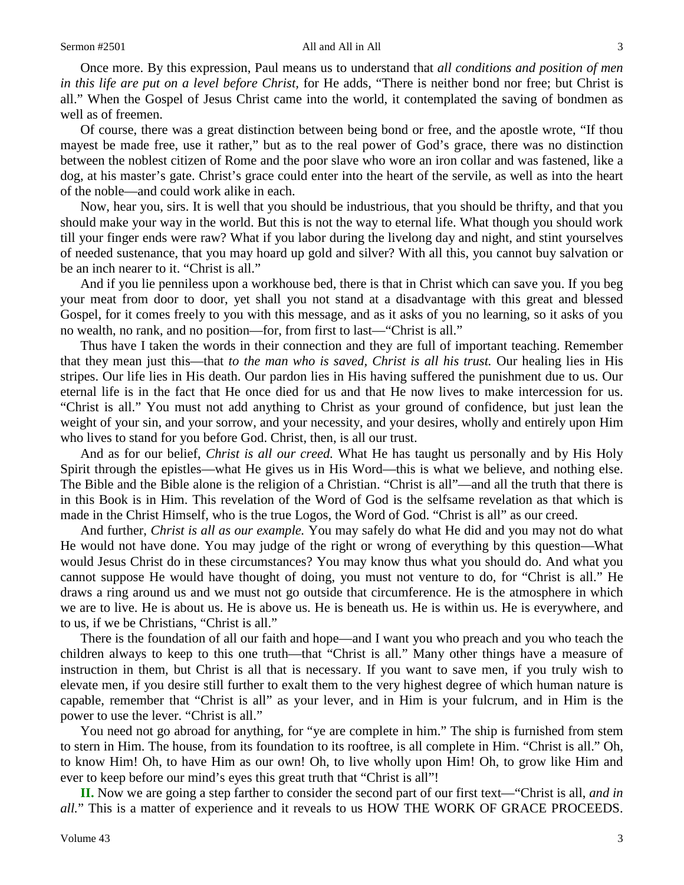Once more. By this expression, Paul means us to understand that *all conditions and position of men in this life are put on a level before Christ,* for He adds, "There is neither bond nor free; but Christ is all." When the Gospel of Jesus Christ came into the world, it contemplated the saving of bondmen as well as of freemen.

Of course, there was a great distinction between being bond or free, and the apostle wrote, "If thou mayest be made free, use it rather," but as to the real power of God's grace, there was no distinction between the noblest citizen of Rome and the poor slave who wore an iron collar and was fastened, like a dog, at his master's gate. Christ's grace could enter into the heart of the servile, as well as into the heart of the noble—and could work alike in each.

Now, hear you, sirs. It is well that you should be industrious, that you should be thrifty, and that you should make your way in the world. But this is not the way to eternal life. What though you should work till your finger ends were raw? What if you labor during the livelong day and night, and stint yourselves of needed sustenance, that you may hoard up gold and silver? With all this, you cannot buy salvation or be an inch nearer to it. "Christ is all."

And if you lie penniless upon a workhouse bed, there is that in Christ which can save you. If you beg your meat from door to door, yet shall you not stand at a disadvantage with this great and blessed Gospel, for it comes freely to you with this message, and as it asks of you no learning, so it asks of you no wealth, no rank, and no position—for, from first to last—"Christ is all."

Thus have I taken the words in their connection and they are full of important teaching. Remember that they mean just this—that *to the man who is saved, Christ is all his trust.* Our healing lies in His stripes. Our life lies in His death. Our pardon lies in His having suffered the punishment due to us. Our eternal life is in the fact that He once died for us and that He now lives to make intercession for us. "Christ is all." You must not add anything to Christ as your ground of confidence, but just lean the weight of your sin, and your sorrow, and your necessity, and your desires, wholly and entirely upon Him who lives to stand for you before God. Christ, then, is all our trust.

And as for our belief, *Christ is all our creed.* What He has taught us personally and by His Holy Spirit through the epistles—what He gives us in His Word—this is what we believe, and nothing else. The Bible and the Bible alone is the religion of a Christian. "Christ is all"—and all the truth that there is in this Book is in Him. This revelation of the Word of God is the selfsame revelation as that which is made in the Christ Himself, who is the true Logos, the Word of God. "Christ is all" as our creed.

And further, *Christ is all as our example.* You may safely do what He did and you may not do what He would not have done. You may judge of the right or wrong of everything by this question—What would Jesus Christ do in these circumstances? You may know thus what you should do. And what you cannot suppose He would have thought of doing, you must not venture to do, for "Christ is all." He draws a ring around us and we must not go outside that circumference. He is the atmosphere in which we are to live. He is about us. He is above us. He is beneath us. He is within us. He is everywhere, and to us, if we be Christians, "Christ is all."

There is the foundation of all our faith and hope—and I want you who preach and you who teach the children always to keep to this one truth—that "Christ is all." Many other things have a measure of instruction in them, but Christ is all that is necessary. If you want to save men, if you truly wish to elevate men, if you desire still further to exalt them to the very highest degree of which human nature is capable, remember that "Christ is all" as your lever, and in Him is your fulcrum, and in Him is the power to use the lever. "Christ is all."

You need not go abroad for anything, for "ye are complete in him." The ship is furnished from stem to stern in Him. The house, from its foundation to its rooftree, is all complete in Him. "Christ is all." Oh, to know Him! Oh, to have Him as our own! Oh, to live wholly upon Him! Oh, to grow like Him and ever to keep before our mind's eyes this great truth that "Christ is all"!

**II.** Now we are going a step farther to consider the second part of our first text—"Christ is all, *and in all.*" This is a matter of experience and it reveals to us HOW THE WORK OF GRACE PROCEEDS.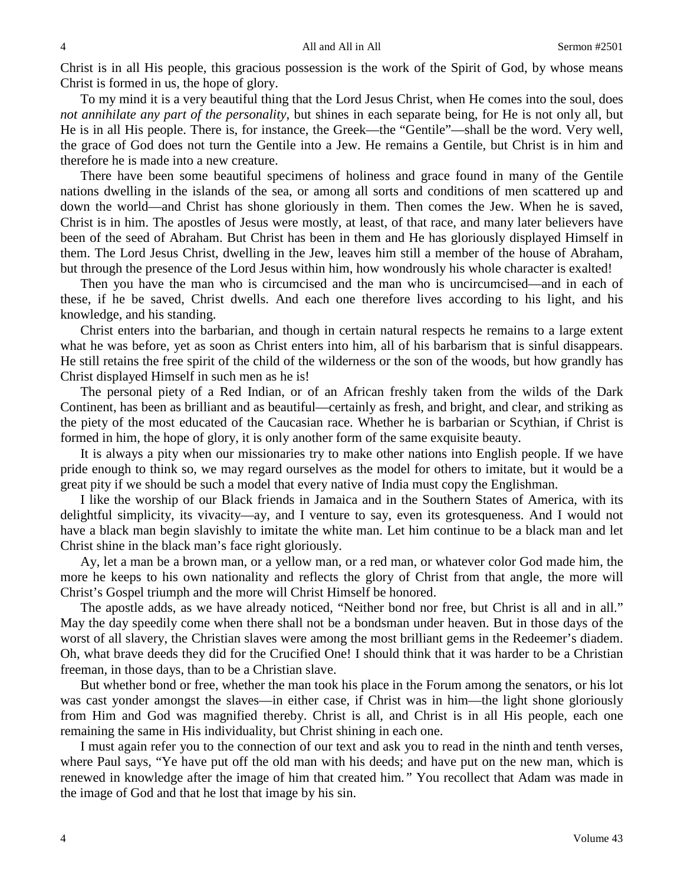Christ is in all His people, this gracious possession is the work of the Spirit of God, by whose means Christ is formed in us, the hope of glory.

To my mind it is a very beautiful thing that the Lord Jesus Christ, when He comes into the soul, does *not annihilate any part of the personality*, but shines in each separate being, for He is not only all, but He is in all His people. There is, for instance, the Greek—the "Gentile"—shall be the word. Very well, the grace of God does not turn the Gentile into a Jew. He remains a Gentile, but Christ is in him and therefore he is made into a new creature.

There have been some beautiful specimens of holiness and grace found in many of the Gentile nations dwelling in the islands of the sea, or among all sorts and conditions of men scattered up and down the world—and Christ has shone gloriously in them. Then comes the Jew. When he is saved, Christ is in him. The apostles of Jesus were mostly, at least, of that race, and many later believers have been of the seed of Abraham. But Christ has been in them and He has gloriously displayed Himself in them. The Lord Jesus Christ, dwelling in the Jew, leaves him still a member of the house of Abraham, but through the presence of the Lord Jesus within him, how wondrously his whole character is exalted!

Then you have the man who is circumcised and the man who is uncircumcised—and in each of these, if he be saved, Christ dwells. And each one therefore lives according to his light, and his knowledge, and his standing.

Christ enters into the barbarian, and though in certain natural respects he remains to a large extent what he was before, yet as soon as Christ enters into him, all of his barbarism that is sinful disappears. He still retains the free spirit of the child of the wilderness or the son of the woods, but how grandly has Christ displayed Himself in such men as he is!

The personal piety of a Red Indian, or of an African freshly taken from the wilds of the Dark Continent, has been as brilliant and as beautiful—certainly as fresh, and bright, and clear, and striking as the piety of the most educated of the Caucasian race. Whether he is barbarian or Scythian, if Christ is formed in him, the hope of glory, it is only another form of the same exquisite beauty.

It is always a pity when our missionaries try to make other nations into English people. If we have pride enough to think so, we may regard ourselves as the model for others to imitate, but it would be a great pity if we should be such a model that every native of India must copy the Englishman.

I like the worship of our Black friends in Jamaica and in the Southern States of America, with its delightful simplicity, its vivacity—ay, and I venture to say, even its grotesqueness. And I would not have a black man begin slavishly to imitate the white man. Let him continue to be a black man and let Christ shine in the black man's face right gloriously.

Ay, let a man be a brown man, or a yellow man, or a red man, or whatever color God made him, the more he keeps to his own nationality and reflects the glory of Christ from that angle, the more will Christ's Gospel triumph and the more will Christ Himself be honored.

The apostle adds, as we have already noticed, "Neither bond nor free, but Christ is all and in all." May the day speedily come when there shall not be a bondsman under heaven. But in those days of the worst of all slavery, the Christian slaves were among the most brilliant gems in the Redeemer's diadem. Oh, what brave deeds they did for the Crucified One! I should think that it was harder to be a Christian freeman, in those days, than to be a Christian slave.

But whether bond or free, whether the man took his place in the Forum among the senators, or his lot was cast yonder amongst the slaves—in either case, if Christ was in him—the light shone gloriously from Him and God was magnified thereby. Christ is all, and Christ is in all His people, each one remaining the same in His individuality, but Christ shining in each one.

I must again refer you to the connection of our text and ask you to read in the ninth and tenth verses, where Paul says, "Ye have put off the old man with his deeds; and have put on the new man, which is renewed in knowledge after the image of him that created him*."* You recollect that Adam was made in the image of God and that he lost that image by his sin.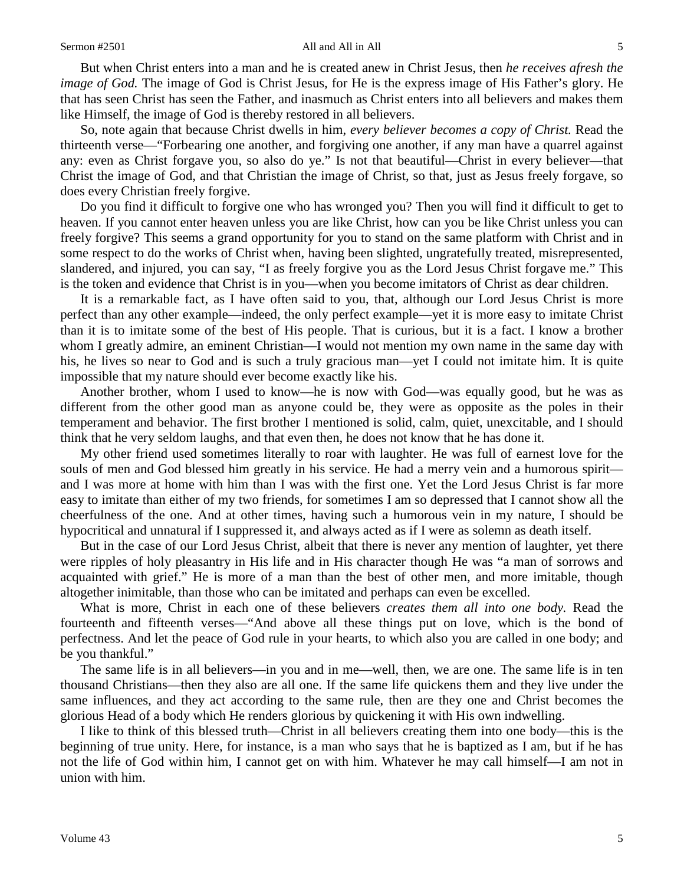## Sermon #2501 **All and All in All 5**

But when Christ enters into a man and he is created anew in Christ Jesus, then *he receives afresh the image of God.* The image of God is Christ Jesus*,* for He is the express image of His Father's glory. He that has seen Christ has seen the Father, and inasmuch as Christ enters into all believers and makes them like Himself, the image of God is thereby restored in all believers.

So, note again that because Christ dwells in him, *every believer becomes a copy of Christ.* Read the thirteenth verse—"Forbearing one another, and forgiving one another, if any man have a quarrel against any: even as Christ forgave you, so also do ye." Is not that beautiful—Christ in every believer—that Christ the image of God, and that Christian the image of Christ, so that, just as Jesus freely forgave, so does every Christian freely forgive.

Do you find it difficult to forgive one who has wronged you? Then you will find it difficult to get to heaven. If you cannot enter heaven unless you are like Christ, how can you be like Christ unless you can freely forgive? This seems a grand opportunity for you to stand on the same platform with Christ and in some respect to do the works of Christ when, having been slighted, ungratefully treated, misrepresented, slandered, and injured, you can say, "I as freely forgive you as the Lord Jesus Christ forgave me." This is the token and evidence that Christ is in you—when you become imitators of Christ as dear children.

It is a remarkable fact, as I have often said to you, that, although our Lord Jesus Christ is more perfect than any other example—indeed, the only perfect example—yet it is more easy to imitate Christ than it is to imitate some of the best of His people. That is curious, but it is a fact. I know a brother whom I greatly admire, an eminent Christian—I would not mention my own name in the same day with his, he lives so near to God and is such a truly gracious man—yet I could not imitate him. It is quite impossible that my nature should ever become exactly like his.

Another brother, whom I used to know—he is now with God—was equally good, but he was as different from the other good man as anyone could be, they were as opposite as the poles in their temperament and behavior. The first brother I mentioned is solid, calm, quiet, unexcitable, and I should think that he very seldom laughs, and that even then, he does not know that he has done it.

My other friend used sometimes literally to roar with laughter. He was full of earnest love for the souls of men and God blessed him greatly in his service. He had a merry vein and a humorous spirit and I was more at home with him than I was with the first one. Yet the Lord Jesus Christ is far more easy to imitate than either of my two friends, for sometimes I am so depressed that I cannot show all the cheerfulness of the one. And at other times, having such a humorous vein in my nature, I should be hypocritical and unnatural if I suppressed it, and always acted as if I were as solemn as death itself.

But in the case of our Lord Jesus Christ, albeit that there is never any mention of laughter, yet there were ripples of holy pleasantry in His life and in His character though He was "a man of sorrows and acquainted with grief." He is more of a man than the best of other men, and more imitable, though altogether inimitable, than those who can be imitated and perhaps can even be excelled.

What is more, Christ in each one of these believers *creates them all into one body.* Read the fourteenth and fifteenth verses—"And above all these things put on love, which is the bond of perfectness. And let the peace of God rule in your hearts, to which also you are called in one body; and be you thankful."

The same life is in all believers—in you and in me—well, then, we are one. The same life is in ten thousand Christians—then they also are all one. If the same life quickens them and they live under the same influences, and they act according to the same rule, then are they one and Christ becomes the glorious Head of a body which He renders glorious by quickening it with His own indwelling.

I like to think of this blessed truth—Christ in all believers creating them into one body—this is the beginning of true unity. Here, for instance, is a man who says that he is baptized as I am, but if he has not the life of God within him, I cannot get on with him. Whatever he may call himself—I am not in union with him.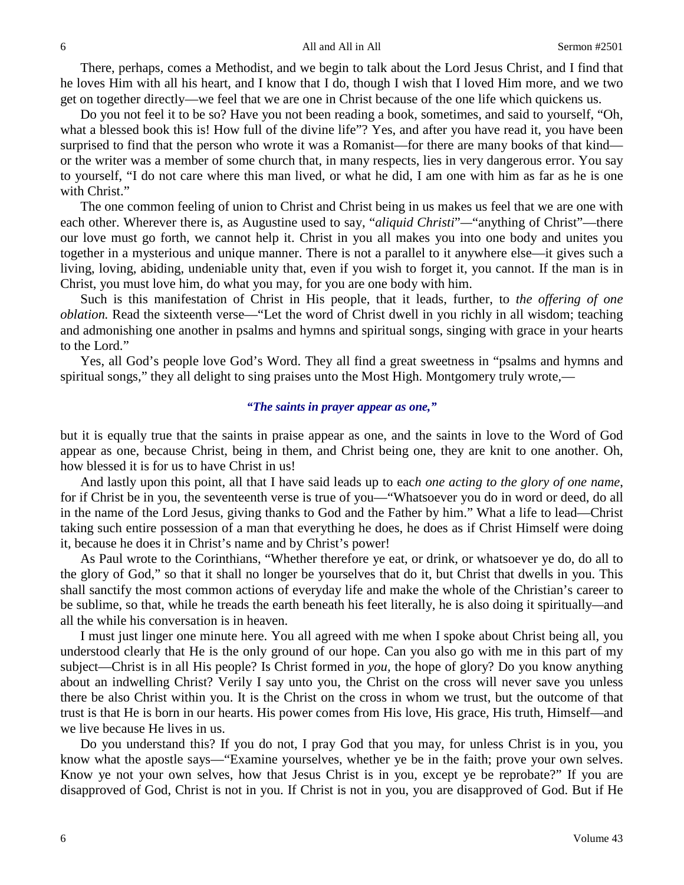There, perhaps, comes a Methodist, and we begin to talk about the Lord Jesus Christ, and I find that he loves Him with all his heart, and I know that I do, though I wish that I loved Him more, and we two get on together directly—we feel that we are one in Christ because of the one life which quickens us.

Do you not feel it to be so? Have you not been reading a book, sometimes, and said to yourself, "Oh, what a blessed book this is! How full of the divine life"? Yes, and after you have read it, you have been surprised to find that the person who wrote it was a Romanist—for there are many books of that kind or the writer was a member of some church that, in many respects, lies in very dangerous error. You say to yourself, "I do not care where this man lived, or what he did, I am one with him as far as he is one with Christ."

The one common feeling of union to Christ and Christ being in us makes us feel that we are one with each other. Wherever there is, as Augustine used to say, "*aliquid Christi*"*—*"anything of Christ"—there our love must go forth, we cannot help it. Christ in you all makes you into one body and unites you together in a mysterious and unique manner. There is not a parallel to it anywhere else—it gives such a living, loving, abiding, undeniable unity that, even if you wish to forget it, you cannot. If the man is in Christ, you must love him, do what you may, for you are one body with him.

Such is this manifestation of Christ in His people, that it leads, further, to *the offering of one oblation.* Read the sixteenth verse—"Let the word of Christ dwell in you richly in all wisdom; teaching and admonishing one another in psalms and hymns and spiritual songs, singing with grace in your hearts to the Lord."

Yes, all God's people love God's Word. They all find a great sweetness in "psalms and hymns and spiritual songs," they all delight to sing praises unto the Most High. Montgomery truly wrote,—

## *"The saints in prayer appear as one,"*

but it is equally true that the saints in praise appear as one, and the saints in love to the Word of God appear as one, because Christ, being in them, and Christ being one, they are knit to one another. Oh, how blessed it is for us to have Christ in us!

And lastly upon this point, all that I have said leads up to eac*h one acting to the glory of one name*, for if Christ be in you, the seventeenth verse is true of you—"Whatsoever you do in word or deed, do all in the name of the Lord Jesus, giving thanks to God and the Father by him." What a life to lead—Christ taking such entire possession of a man that everything he does, he does as if Christ Himself were doing it, because he does it in Christ's name and by Christ's power!

As Paul wrote to the Corinthians, "Whether therefore ye eat, or drink, or whatsoever ye do, do all to the glory of God," so that it shall no longer be yourselves that do it, but Christ that dwells in you. This shall sanctify the most common actions of everyday life and make the whole of the Christian's career to be sublime, so that, while he treads the earth beneath his feet literally, he is also doing it spiritually*—*and all the while his conversation is in heaven.

I must just linger one minute here. You all agreed with me when I spoke about Christ being all, you understood clearly that He is the only ground of our hope. Can you also go with me in this part of my subject—Christ is in all His people? Is Christ formed in *you,* the hope of glory? Do you know anything about an indwelling Christ? Verily I say unto you, the Christ on the cross will never save you unless there be also Christ within you. It is the Christ on the cross in whom we trust, but the outcome of that trust is that He is born in our hearts. His power comes from His love, His grace, His truth, Himself—and we live because He lives in us.

Do you understand this? If you do not, I pray God that you may, for unless Christ is in you, you know what the apostle says—"Examine yourselves, whether ye be in the faith; prove your own selves. Know ye not your own selves, how that Jesus Christ is in you, except ye be reprobate?" If you are disapproved of God, Christ is not in you. If Christ is not in you, you are disapproved of God. But if He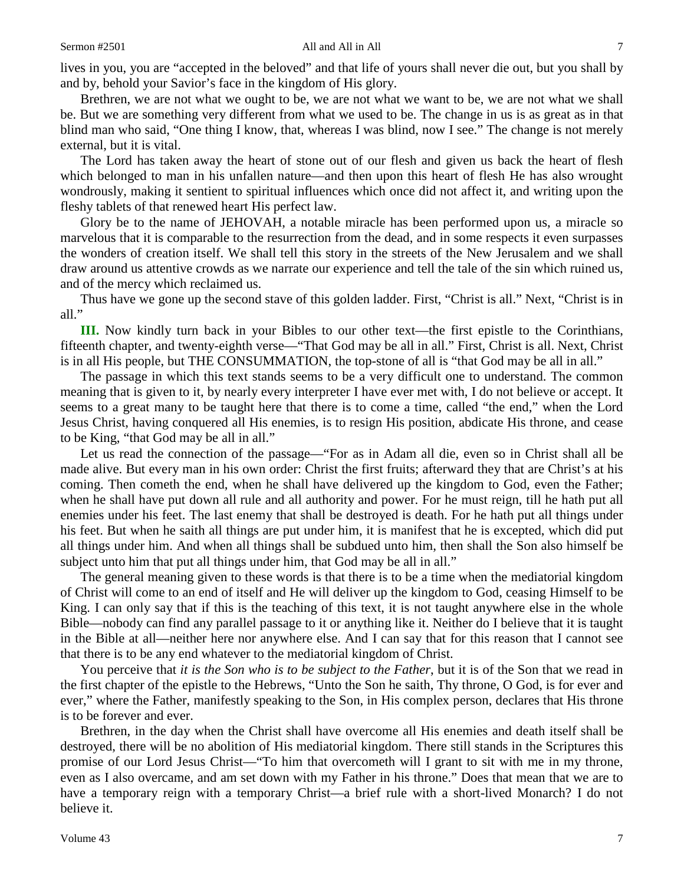## Sermon #2501 All and All in All  $\alpha$  All and All in All  $\alpha$

lives in you, you are "accepted in the beloved" and that life of yours shall never die out, but you shall by and by, behold your Savior's face in the kingdom of His glory.

Brethren, we are not what we ought to be, we are not what we want to be, we are not what we shall be. But we are something very different from what we used to be. The change in us is as great as in that blind man who said, "One thing I know, that, whereas I was blind, now I see." The change is not merely external, but it is vital.

The Lord has taken away the heart of stone out of our flesh and given us back the heart of flesh which belonged to man in his unfallen nature—and then upon this heart of flesh He has also wrought wondrously, making it sentient to spiritual influences which once did not affect it, and writing upon the fleshy tablets of that renewed heart His perfect law.

Glory be to the name of JEHOVAH, a notable miracle has been performed upon us, a miracle so marvelous that it is comparable to the resurrection from the dead, and in some respects it even surpasses the wonders of creation itself. We shall tell this story in the streets of the New Jerusalem and we shall draw around us attentive crowds as we narrate our experience and tell the tale of the sin which ruined us, and of the mercy which reclaimed us.

Thus have we gone up the second stave of this golden ladder. First, "Christ is all." Next, "Christ is in all."

**III.** Now kindly turn back in your Bibles to our other text—the first epistle to the Corinthians, fifteenth chapter, and twenty-eighth verse—"That God may be all in all." First, Christ is all. Next, Christ is in all His people, but THE CONSUMMATION, the top-stone of all is "that God may be all in all."

The passage in which this text stands seems to be a very difficult one to understand. The common meaning that is given to it, by nearly every interpreter I have ever met with, I do not believe or accept. It seems to a great many to be taught here that there is to come a time, called "the end," when the Lord Jesus Christ, having conquered all His enemies, is to resign His position, abdicate His throne, and cease to be King, "that God may be all in all."

Let us read the connection of the passage—"For as in Adam all die, even so in Christ shall all be made alive. But every man in his own order: Christ the first fruits; afterward they that are Christ's at his coming. Then cometh the end, when he shall have delivered up the kingdom to God, even the Father; when he shall have put down all rule and all authority and power. For he must reign, till he hath put all enemies under his feet. The last enemy that shall be destroyed is death. For he hath put all things under his feet. But when he saith all things are put under him, it is manifest that he is excepted, which did put all things under him. And when all things shall be subdued unto him, then shall the Son also himself be subject unto him that put all things under him, that God may be all in all."

The general meaning given to these words is that there is to be a time when the mediatorial kingdom of Christ will come to an end of itself and He will deliver up the kingdom to God, ceasing Himself to be King. I can only say that if this is the teaching of this text, it is not taught anywhere else in the whole Bible—nobody can find any parallel passage to it or anything like it. Neither do I believe that it is taught in the Bible at all—neither here nor anywhere else. And I can say that for this reason that I cannot see that there is to be any end whatever to the mediatorial kingdom of Christ.

You perceive that *it is the Son who is to be subject to the Father*, but it is of the Son that we read in the first chapter of the epistle to the Hebrews, "Unto the Son he saith, Thy throne, O God, is for ever and ever," where the Father, manifestly speaking to the Son, in His complex person, declares that His throne is to be forever and ever.

Brethren, in the day when the Christ shall have overcome all His enemies and death itself shall be destroyed, there will be no abolition of His mediatorial kingdom. There still stands in the Scriptures this promise of our Lord Jesus Christ—"To him that overcometh will I grant to sit with me in my throne, even as I also overcame, and am set down with my Father in his throne." Does that mean that we are to have a temporary reign with a temporary Christ—a brief rule with a short-lived Monarch? I do not believe it.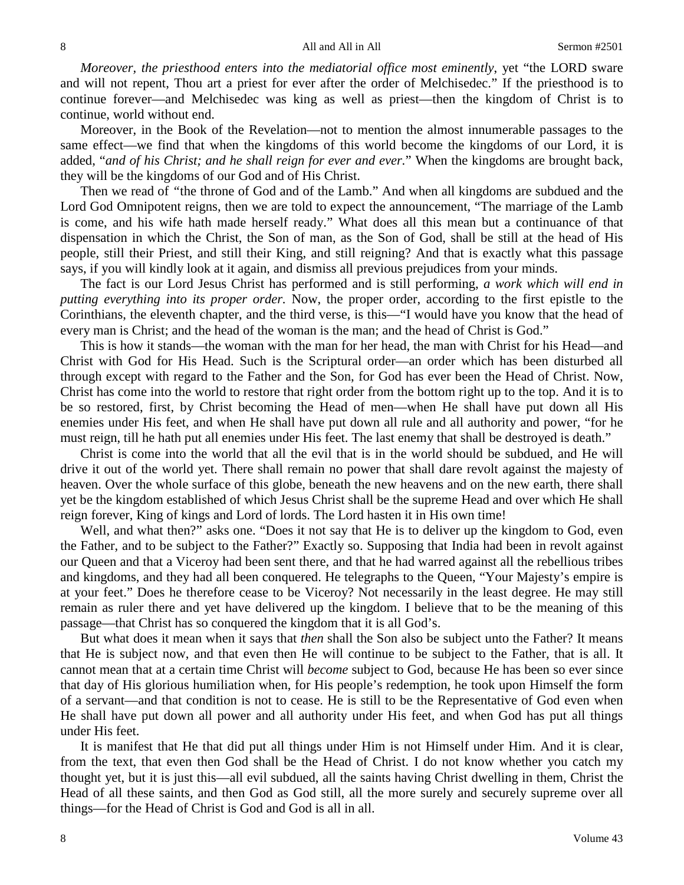*Moreover, the priesthood enters into the mediatorial office most eminently*, yet "the LORD sware and will not repent, Thou art a priest for ever after the order of Melchisedec." If the priesthood is to continue forever—and Melchisedec was king as well as priest—then the kingdom of Christ is to continue, world without end.

Moreover, in the Book of the Revelation—not to mention the almost innumerable passages to the same effect—we find that when the kingdoms of this world become the kingdoms of our Lord, it is added, "*and of his Christ; and he shall reign for ever and ever.*" When the kingdoms are brought back, they will be the kingdoms of our God and of His Christ.

Then we read of *"*the throne of God and of the Lamb." And when all kingdoms are subdued and the Lord God Omnipotent reigns, then we are told to expect the announcement, "The marriage of the Lamb is come, and his wife hath made herself ready." What does all this mean but a continuance of that dispensation in which the Christ, the Son of man, as the Son of God, shall be still at the head of His people, still their Priest, and still their King, and still reigning? And that is exactly what this passage says, if you will kindly look at it again, and dismiss all previous prejudices from your minds.

The fact is our Lord Jesus Christ has performed and is still performing, *a work which will end in putting everything into its proper order.* Now, the proper order, according to the first epistle to the Corinthians, the eleventh chapter, and the third verse, is this—"I would have you know that the head of every man is Christ; and the head of the woman is the man; and the head of Christ is God."

This is how it stands—the woman with the man for her head, the man with Christ for his Head—and Christ with God for His Head. Such is the Scriptural order—an order which has been disturbed all through except with regard to the Father and the Son, for God has ever been the Head of Christ. Now, Christ has come into the world to restore that right order from the bottom right up to the top. And it is to be so restored, first, by Christ becoming the Head of men—when He shall have put down all His enemies under His feet, and when He shall have put down all rule and all authority and power, "for he must reign, till he hath put all enemies under His feet. The last enemy that shall be destroyed is death."

Christ is come into the world that all the evil that is in the world should be subdued, and He will drive it out of the world yet. There shall remain no power that shall dare revolt against the majesty of heaven. Over the whole surface of this globe, beneath the new heavens and on the new earth, there shall yet be the kingdom established of which Jesus Christ shall be the supreme Head and over which He shall reign forever, King of kings and Lord of lords. The Lord hasten it in His own time!

Well, and what then?" asks one. "Does it not say that He is to deliver up the kingdom to God, even the Father, and to be subject to the Father?" Exactly so. Supposing that India had been in revolt against our Queen and that a Viceroy had been sent there, and that he had warred against all the rebellious tribes and kingdoms, and they had all been conquered. He telegraphs to the Queen, "Your Majesty's empire is at your feet." Does he therefore cease to be Viceroy? Not necessarily in the least degree. He may still remain as ruler there and yet have delivered up the kingdom. I believe that to be the meaning of this passage—that Christ has so conquered the kingdom that it is all God's.

But what does it mean when it says that *then* shall the Son also be subject unto the Father? It means that He is subject now, and that even then He will continue to be subject to the Father, that is all. It cannot mean that at a certain time Christ will *become* subject to God, because He has been so ever since that day of His glorious humiliation when, for His people's redemption, he took upon Himself the form of a servant—and that condition is not to cease. He is still to be the Representative of God even when He shall have put down all power and all authority under His feet, and when God has put all things under His feet.

It is manifest that He that did put all things under Him is not Himself under Him. And it is clear, from the text, that even then God shall be the Head of Christ. I do not know whether you catch my thought yet, but it is just this—all evil subdued, all the saints having Christ dwelling in them, Christ the Head of all these saints, and then God as God still, all the more surely and securely supreme over all things—for the Head of Christ is God and God is all in all.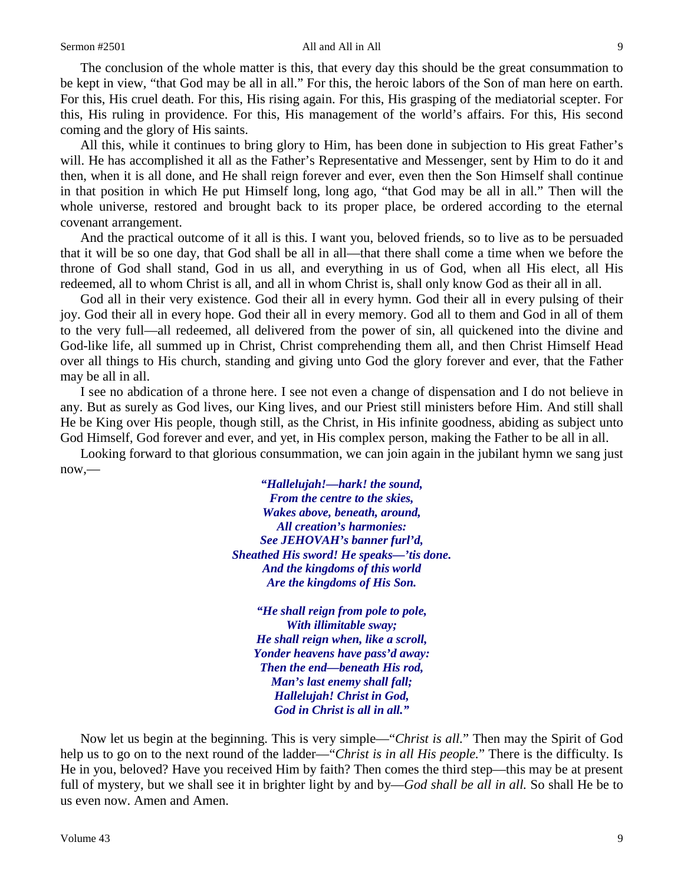## Sermon #2501 All and All in All 9

The conclusion of the whole matter is this, that every day this should be the great consummation to be kept in view, "that God may be all in all." For this, the heroic labors of the Son of man here on earth. For this, His cruel death. For this, His rising again. For this, His grasping of the mediatorial scepter. For this, His ruling in providence. For this, His management of the world's affairs. For this, His second coming and the glory of His saints.

All this, while it continues to bring glory to Him, has been done in subjection to His great Father's will. He has accomplished it all as the Father's Representative and Messenger, sent by Him to do it and then, when it is all done, and He shall reign forever and ever, even then the Son Himself shall continue in that position in which He put Himself long, long ago, "that God may be all in all." Then will the whole universe, restored and brought back to its proper place, be ordered according to the eternal covenant arrangement.

And the practical outcome of it all is this. I want you, beloved friends, so to live as to be persuaded that it will be so one day, that God shall be all in all—that there shall come a time when we before the throne of God shall stand, God in us all, and everything in us of God, when all His elect, all His redeemed, all to whom Christ is all, and all in whom Christ is, shall only know God as their all in all.

God all in their very existence. God their all in every hymn. God their all in every pulsing of their joy. God their all in every hope. God their all in every memory. God all to them and God in all of them to the very full—all redeemed, all delivered from the power of sin, all quickened into the divine and God-like life, all summed up in Christ, Christ comprehending them all, and then Christ Himself Head over all things to His church, standing and giving unto God the glory forever and ever, that the Father may be all in all.

I see no abdication of a throne here. I see not even a change of dispensation and I do not believe in any. But as surely as God lives, our King lives, and our Priest still ministers before Him. And still shall He be King over His people, though still, as the Christ, in His infinite goodness, abiding as subject unto God Himself, God forever and ever, and yet, in His complex person, making the Father to be all in all.

Looking forward to that glorious consummation, we can join again in the jubilant hymn we sang just now,—

> *"Hallelujah!—hark! the sound, From the centre to the skies, Wakes above, beneath, around, All creation's harmonies: See JEHOVAH's banner furl'd, Sheathed His sword! He speaks—'tis done. And the kingdoms of this world Are the kingdoms of His Son.*

*"He shall reign from pole to pole, With illimitable sway; He shall reign when, like a scroll, Yonder heavens have pass'd away: Then the end—beneath His rod, Man's last enemy shall fall; Hallelujah! Christ in God, God in Christ is all in all."*

Now let us begin at the beginning. This is very simple—"*Christ is all.*" Then may the Spirit of God help us to go on to the next round of the ladder—"*Christ is in all His people.*" There is the difficulty. Is He in you, beloved? Have you received Him by faith? Then comes the third step—this may be at present full of mystery, but we shall see it in brighter light by and by—*God shall be all in all.* So shall He be to us even now. Amen and Amen.